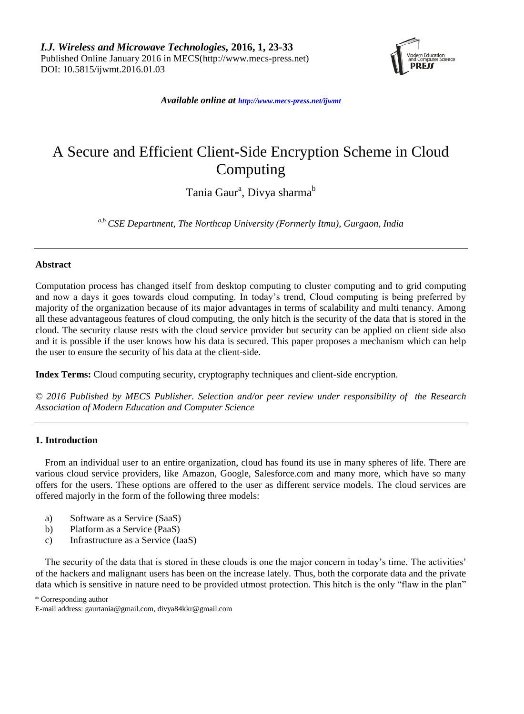

*Available online at http://www.mecs-press.net/ijwmt*

# A Secure and Efficient Client-Side Encryption Scheme in Cloud Computing

Tania Gaur<sup>a</sup>, Divya sharma<sup>b</sup>

*a,b CSE Department, The Northcap University (Formerly Itmu), Gurgaon, India*

#### **Abstract**

Computation process has changed itself from desktop computing to cluster computing and to grid computing and now a days it goes towards cloud computing. In today's trend, Cloud computing is being preferred by majority of the organization because of its major advantages in terms of scalability and multi tenancy. Among all these advantageous features of cloud computing, the only hitch is the security of the data that is stored in the cloud. The security clause rests with the cloud service provider but security can be applied on client side also and it is possible if the user knows how his data is secured. This paper proposes a mechanism which can help the user to ensure the security of his data at the client-side.

**Index Terms:** Cloud computing security, cryptography techniques and client-side encryption.

*© 2016 Published by MECS Publisher. Selection and/or peer review under responsibility of the Research Association of Modern Education and Computer Science*

# **1. Introduction**

From an individual user to an entire organization, cloud has found its use in many spheres of life. There are various cloud service providers, like Amazon, Google, Salesforce.com and many more, which have so many offers for the users. These options are offered to the user as different service models. The cloud services are offered majorly in the form of the following three models:

- a) Software as a Service (SaaS)
- b) Platform as a Service (PaaS)
- c) Infrastructure as a Service (IaaS)

The security of the data that is stored in these clouds is one the major concern in today's time. The activities' of the hackers and malignant users has been on the increase lately. Thus, both the corporate data and the private data which is sensitive in nature need to be provided utmost protection. This hitch is the only "flaw in the plan"

\* Corresponding author

E-mail address: [gaurtania@gmail.com,](mailto:gaurtania@gmail.com) divya84kkr@gmail.com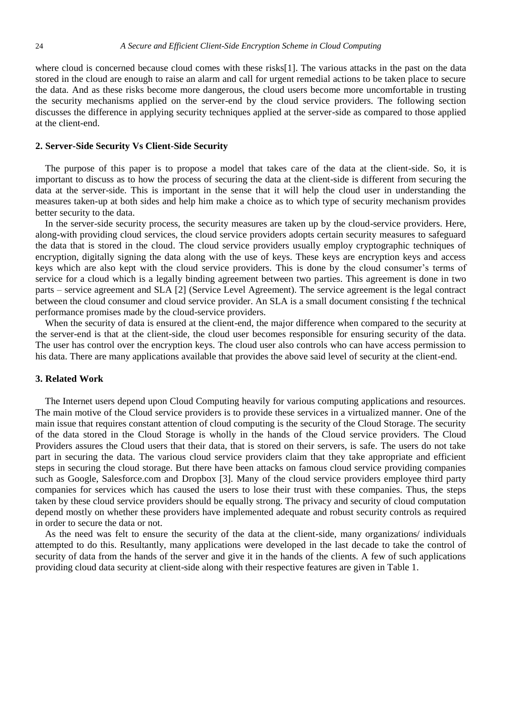where cloud is concerned because cloud comes with these risks[1]. The various attacks in the past on the data stored in the cloud are enough to raise an alarm and call for urgent remedial actions to be taken place to secure the data. And as these risks become more dangerous, the cloud users become more uncomfortable in trusting the security mechanisms applied on the server-end by the cloud service providers. The following section discusses the difference in applying security techniques applied at the server-side as compared to those applied at the client-end.

#### **2. Server-Side Security Vs Client-Side Security**

The purpose of this paper is to propose a model that takes care of the data at the client-side. So, it is important to discuss as to how the process of securing the data at the client-side is different from securing the data at the server-side. This is important in the sense that it will help the cloud user in understanding the measures taken-up at both sides and help him make a choice as to which type of security mechanism provides better security to the data.

In the server-side security process, the security measures are taken up by the cloud-service providers. Here, along-with providing cloud services, the cloud service providers adopts certain security measures to safeguard the data that is stored in the cloud. The cloud service providers usually employ cryptographic techniques of encryption, digitally signing the data along with the use of keys. These keys are encryption keys and access keys which are also kept with the cloud service providers. This is done by the cloud consumer's terms of service for a cloud which is a legally binding agreement between two parties. This agreement is done in two parts – service agreement and SLA [2] (Service Level Agreement). The service agreement is the legal contract between the cloud consumer and cloud service provider. An SLA is a small document consisting f the technical performance promises made by the cloud-service providers.

When the security of data is ensured at the client-end, the major difference when compared to the security at the server-end is that at the client-side, the cloud user becomes responsible for ensuring security of the data. The user has control over the encryption keys. The cloud user also controls who can have access permission to his data. There are many applications available that provides the above said level of security at the client-end.

#### **3. Related Work**

The Internet users depend upon Cloud Computing heavily for various computing applications and resources. The main motive of the Cloud service providers is to provide these services in a virtualized manner. One of the main issue that requires constant attention of cloud computing is the security of the Cloud Storage. The security of the data stored in the Cloud Storage is wholly in the hands of the Cloud service providers. The Cloud Providers assures the Cloud users that their data, that is stored on their servers, is safe. The users do not take part in securing the data. The various cloud service providers claim that they take appropriate and efficient steps in securing the cloud storage. But there have been attacks on famous cloud service providing companies such as Google, Salesforce.com and Dropbox [3]. Many of the cloud service providers employee third party companies for services which has caused the users to lose their trust with these companies. Thus, the steps taken by these cloud service providers should be equally strong. The privacy and security of cloud computation depend mostly on whether these providers have implemented adequate and robust security controls as required in order to secure the data or not.

As the need was felt to ensure the security of the data at the client-side, many organizations/ individuals attempted to do this. Resultantly, many applications were developed in the last decade to take the control of security of data from the hands of the server and give it in the hands of the clients. A few of such applications providing cloud data security at client-side along with their respective features are given in Table 1.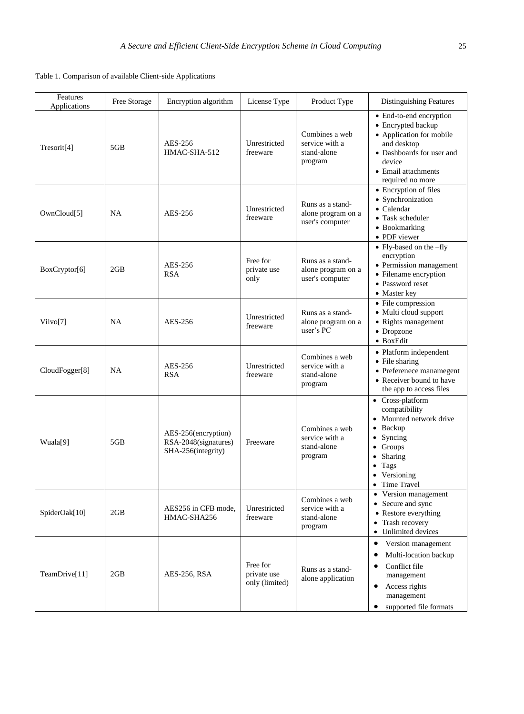Table 1. Comparison of available Client-side Applications

| Features<br>Applications | Free Storage | Encryption algorithm                                              | License Type                              | Product Type                                               | Distinguishing Features                                                                                                                                                         |
|--------------------------|--------------|-------------------------------------------------------------------|-------------------------------------------|------------------------------------------------------------|---------------------------------------------------------------------------------------------------------------------------------------------------------------------------------|
| Tresorit <sup>[4]</sup>  | 5GB          | AES-256<br>HMAC-SHA-512                                           | Unrestricted<br>freeware                  | Combines a web<br>service with a<br>stand-alone<br>program | • End-to-end encryption<br>• Encrypted backup<br>• Application for mobile<br>and desktop<br>• Dashboards for user and<br>device<br>• Email attachments<br>required no more      |
| OwnCloud[5]              | NA           | AES-256                                                           | Unrestricted<br>freeware                  | Runs as a stand-<br>alone program on a<br>user's computer  | • Encryption of files<br>• Synchronization<br>• Calendar<br>• Task scheduler<br>• Bookmarking<br>• PDF viewer                                                                   |
| BoxCryptor[6]            | 2GB          | AES-256<br><b>RSA</b>                                             | Free for<br>private use<br>only           | Runs as a stand-<br>alone program on a<br>user's computer  | • Fly-based on the -fly<br>encryption<br>• Permission management<br>• Filename encryption<br>• Password reset<br>• Master key                                                   |
| Viivo[7]                 | NA           | AES-256                                                           | Unrestricted<br>freeware                  | Runs as a stand-<br>alone program on a<br>user's PC        | • File compression<br>• Multi cloud support<br>• Rights management<br>• Dropzone<br>• BoxEdit                                                                                   |
| CloudFogger[8]           | NA           | AES-256<br><b>RSA</b>                                             | Unrestricted<br>freeware                  | Combines a web<br>service with a<br>stand-alone<br>program | • Platform independent<br>• File sharing<br>• Preferenece manamegent<br>• Receiver bound to have<br>the app to access files                                                     |
| Wuala[9]                 | 5GB          | AES-256(encryption)<br>RSA-2048(signatures)<br>SHA-256(integrity) | Freeware                                  | Combines a web<br>service with a<br>stand-alone<br>program | • Cross-platform<br>compatibility<br>• Mounted network drive<br>• Backup<br>Syncing<br>٠<br>$\bullet$ Groups<br>• Sharing<br>Tags<br>$\bullet$<br>• Versioning<br>• Time Travel |
| SpiderOak[10]            | 2GB          | AES256 in CFB mode,<br>HMAC-SHA256                                | Unrestricted<br>freeware                  | Combines a web<br>service with a<br>stand-alone<br>program | • Version management<br>• Secure and sync<br>• Restore everything<br>Trash recovery<br>• Unlimited devices                                                                      |
| TeamDrive[11]            | 2GB          | AES-256, RSA                                                      | Free for<br>private use<br>only (limited) | Runs as a stand-<br>alone application                      | Version management<br>$\bullet$<br>Multi-location backup<br>٠<br>Conflict file<br>٠<br>management<br>Access rights<br>$\bullet$<br>management<br>supported file formats<br>٠    |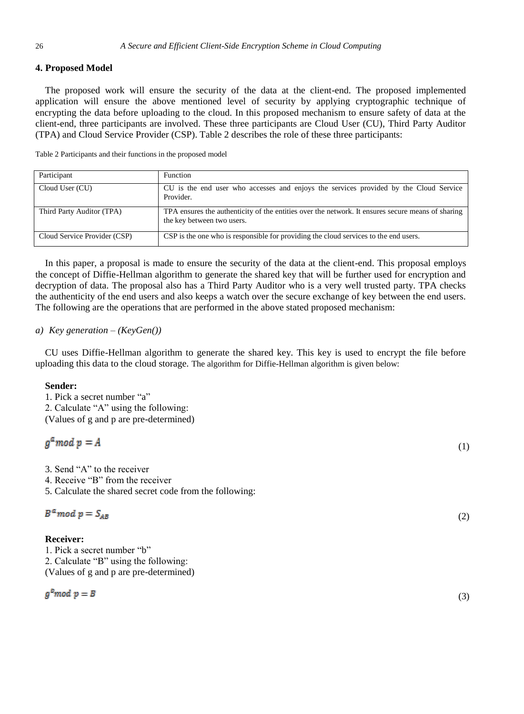# **4. Proposed Model**

The proposed work will ensure the security of the data at the client-end. The proposed implemented application will ensure the above mentioned level of security by applying cryptographic technique of encrypting the data before uploading to the cloud. In this proposed mechanism to ensure safety of data at the client-end, three participants are involved. These three participants are Cloud User (CU), Third Party Auditor (TPA) and Cloud Service Provider (CSP). Table 2 describes the role of these three participants:

Table 2 Participants and their functions in the proposed model

| Participant                  | <b>Function</b>                                                                                                                 |
|------------------------------|---------------------------------------------------------------------------------------------------------------------------------|
| Cloud User (CU)              | CU is the end user who accesses and enjoys the services provided by the Cloud Service<br>Provider.                              |
| Third Party Auditor (TPA)    | TPA ensures the authenticity of the entities over the network. It ensures secure means of sharing<br>the key between two users. |
| Cloud Service Provider (CSP) | CSP is the one who is responsible for providing the cloud services to the end users.                                            |

In this paper, a proposal is made to ensure the security of the data at the client-end. This proposal employs the concept of Diffie-Hellman algorithm to generate the shared key that will be further used for encryption and decryption of data. The proposal also has a Third Party Auditor who is a very well trusted party. TPA checks the authenticity of the end users and also keeps a watch over the secure exchange of key between the end users. The following are the operations that are performed in the above stated proposed mechanism:

# *a) Key generation – (KeyGen())*

CU uses Diffie-Hellman algorithm to generate the shared key. This key is used to encrypt the file before uploading this data to the cloud storage. The algorithm for Diffie-Hellman algorithm is given below:

# **Sender:**

1. Pick a secret number "a" 2. Calculate "A" using the following: (Values of g and p are pre-determined)

# $q^a$  mod  $p = A$

3. Send "A" to the receiver

- 4. Receive "B" from the receiver
- 5. Calculate the shared secret code from the following:

$$
B^a \mod p = S_{AB} \tag{2}
$$

# **Receiver:**

1. Pick a secret number "b" 2. Calculate "B" using the following: (Values of g and p are pre-determined)

$$
g^b \mod p = B
$$

 $\left(3\right)$ 

(1)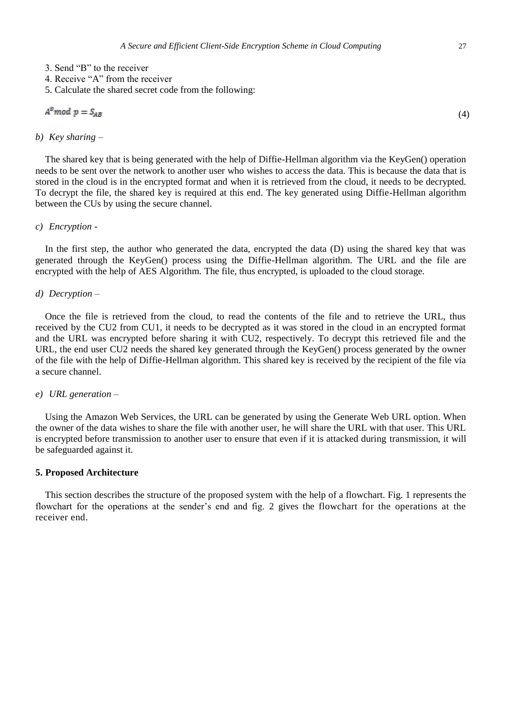- 4. Receive "A" from the receiver
- 5. Calculate the shared secret code from the following:

(4)

#### *b) Key sharing –*

The shared key that is being generated with the help of Diffie-Hellman algorithm via the KeyGen() operation needs to be sent over the network to another user who wishes to access the data. This is because the data that is stored in the cloud is in the encrypted format and when it is retrieved from the cloud, it needs to be decrypted. To decrypt the file, the shared key is required at this end. The key generated using Diffie-Hellman algorithm between the CUs by using the secure channel.

#### *c) Encryption -*

In the first step, the author who generated the data, encrypted the data (D) using the shared key that was generated through the KeyGen() process using the Diffie-Hellman algorithm. The URL and the file are encrypted with the help of AES Algorithm. The file, thus encrypted, is uploaded to the cloud storage.

#### *d) Decryption –*

Once the file is retrieved from the cloud, to read the contents of the file and to retrieve the URL, thus received by the CU2 from CU1, it needs to be decrypted as it was stored in the cloud in an encrypted format and the URL was encrypted before sharing it with CU2, respectively. To decrypt this retrieved file and the URL, the end user CU2 needs the shared key generated through the KeyGen() process generated by the owner of the file with the help of Diffie-Hellman algorithm. This shared key is received by the recipient of the file via a secure channel.

#### *e) URL generation –*

Using the Amazon Web Services, the URL can be generated by using the Generate Web URL option. When the owner of the data wishes to share the file with another user, he will share the URL with that user. This URL is encrypted before transmission to another user to ensure that even if it is attacked during transmission, it will be safeguarded against it.

#### **5. Proposed Architecture**

This section describes the structure of the proposed system with the help of a flowchart. Fig. 1 represents the flowchart for the operations at the sender's end and fig. 2 gives the flowchart for the operations at the receiver end.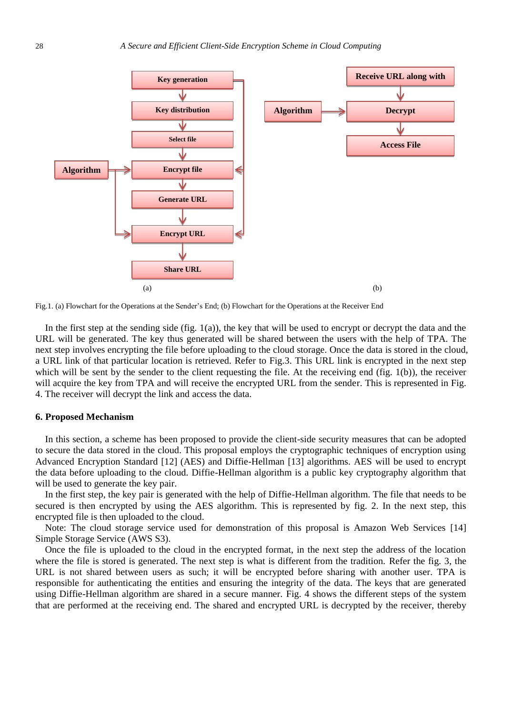

Fig.1. (a) Flowchart for the Operations at the Sender's End; (b) Flowchart for the Operations at the Receiver End

In the first step at the sending side (fig.  $1(a)$ ), the key that will be used to encrypt or decrypt the data and the URL will be generated. The key thus generated will be shared between the users with the help of TPA. The next step involves encrypting the file before uploading to the cloud storage. Once the data is stored in the cloud, a URL link of that particular location is retrieved. Refer to Fig.3. This URL link is encrypted in the next step which will be sent by the sender to the client requesting the file. At the receiving end (fig. 1(b)), the receiver will acquire the key from TPA and will receive the encrypted URL from the sender. This is represented in Fig. 4. The receiver will decrypt the link and access the data.

#### **6. Proposed Mechanism**

In this section, a scheme has been proposed to provide the client-side security measures that can be adopted to secure the data stored in the cloud. This proposal employs the cryptographic techniques of encryption using Advanced Encryption Standard [12] (AES) and Diffie-Hellman [13] algorithms. AES will be used to encrypt the data before uploading to the cloud. Diffie-Hellman algorithm is a public key cryptography algorithm that will be used to generate the key pair.

In the first step, the key pair is generated with the help of Diffie-Hellman algorithm. The file that needs to be secured is then encrypted by using the AES algorithm. This is represented by fig. 2. In the next step, this encrypted file is then uploaded to the cloud.

Note: The cloud storage service used for demonstration of this proposal is Amazon Web Services [14] Simple Storage Service (AWS S3).

Once the file is uploaded to the cloud in the encrypted format, in the next step the address of the location where the file is stored is generated. The next step is what is different from the tradition. Refer the fig. 3, the URL is not shared between users as such; it will be encrypted before sharing with another user. TPA is responsible for authenticating the entities and ensuring the integrity of the data. The keys that are generated using Diffie-Hellman algorithm are shared in a secure manner. Fig. 4 shows the different steps of the system that are performed at the receiving end. The shared and encrypted URL is decrypted by the receiver, thereby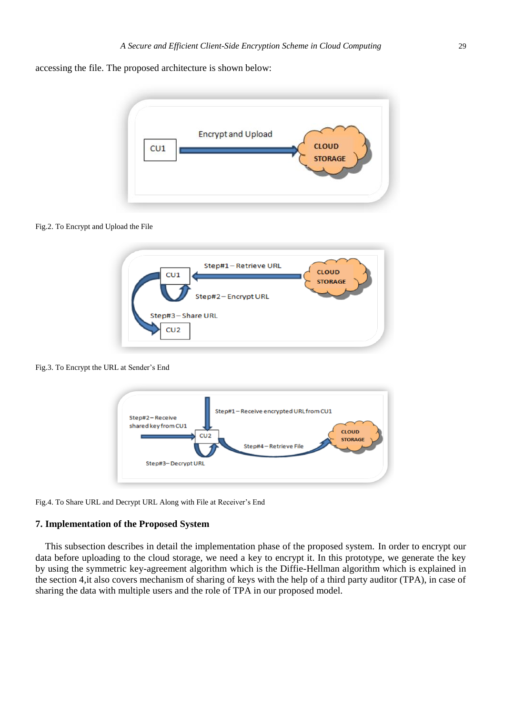accessing the file. The proposed architecture is shown below:



#### Fig.2. To Encrypt and Upload the File



Fig.3. To Encrypt the URL at Sender's End



Fig.4. To Share URL and Decrypt URL Along with File at Receiver's End

# **7. Implementation of the Proposed System**

This subsection describes in detail the implementation phase of the proposed system. In order to encrypt our data before uploading to the cloud storage, we need a key to encrypt it. In this prototype, we generate the key by using the symmetric key-agreement algorithm which is the Diffie-Hellman algorithm which is explained in the section 4,it also covers mechanism of sharing of keys with the help of a third party auditor (TPA), in case of sharing the data with multiple users and the role of TPA in our proposed model.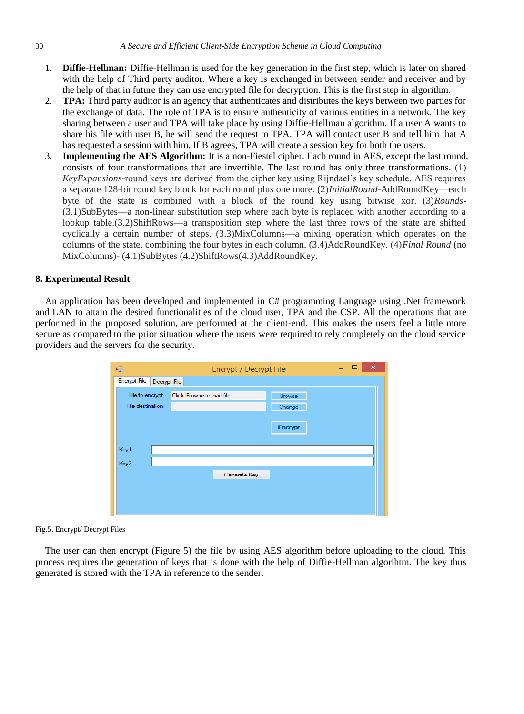- 1. **Diffie-Hellman:** Diffie-Hellman is used for the key generation in the first step, which is later on shared with the help of Third party auditor. Where a key is exchanged in between sender and receiver and by the help of that in future they can use encrypted file for decryption. This is the first step in algorithm.
- 2. **TPA:** Third party auditor is an agency that authenticates and distributes the keys between two parties for the exchange of data. The role of TPA is to ensure authenticity of various entities in a network. The key sharing between a user and TPA will take place by using Diffie-Hellman algorithm. If a user A wants to share his file with user B, he will send the request to TPA. TPA will contact user B and tell him that A has requested a session with him. If B agrees, TPA will create a session key for both the users.
- 3. **Implementing the AES Algorithm:** It is a non-Fiestel cipher. Each round in AES, except the last round, consists of four transformations that are invertible. The last round has only three transformations. (1) *KeyExpansions*-round keys are derived from the cipher key using Rijndael's key schedule. AES requires a separate 128-bit round key block for each round plus one more. (2)*InitialRound*-AddRoundKey—each byte of the state is combined with a block of the round key using bitwise xor. (3)*Rounds*- (3.1)SubBytes—a non-linear substitution step where each byte is replaced with another according to a lookup table.(3.2)ShiftRows—a transposition step where the last three rows of the state are shifted cyclically a certain number of steps. (3.3)MixColumns—a mixing operation which operates on the columns of the state, combining the four bytes in each column. (3.4)AddRoundKey. (4)*Final Round* (no MixColumns)- (4.1)SubBytes (4.2)ShiftRows(4.3)AddRoundKey.

#### **8. Experimental Result**

An application has been developed and implemented in C# programming Language using .Net framework and LAN to attain the desired functionalities of the cloud user, TPA and the CSP. All the operations that are performed in the proposed solution, are performed at the client-end. This makes the users feel a little more secure as compared to the prior situation where the users were required to rely completely on the cloud service providers and the servers for the security.

| 吗                 |              |                            | Encrypt / Decrypt File |         |  | ▭ | $\boldsymbol{\times}$ |
|-------------------|--------------|----------------------------|------------------------|---------|--|---|-----------------------|
| Encrypt File      | Decrypt File |                            |                        |         |  |   |                       |
| File to encrypt:  |              | Click Browse to load file. |                        | Browse  |  |   |                       |
| File destination: |              |                            |                        | Change  |  |   |                       |
|                   |              |                            |                        |         |  |   |                       |
|                   |              |                            |                        | Encrypt |  |   |                       |
|                   |              |                            |                        |         |  |   |                       |
| Key1              |              |                            |                        |         |  |   |                       |
| Key2              |              |                            |                        |         |  |   |                       |
|                   |              |                            | Generate Key           |         |  |   |                       |
|                   |              |                            |                        |         |  |   |                       |
|                   |              |                            |                        |         |  |   |                       |
|                   |              |                            |                        |         |  |   |                       |

Fig.5. Encrypt/ Decrypt Files

The user can then encrypt (Figure 5) the file by using AES algorithm before uploading to the cloud. This process requires the generation of keys that is done with the help of Diffie-Hellman algorihtm. The key thus generated is stored with the TPA in reference to the sender.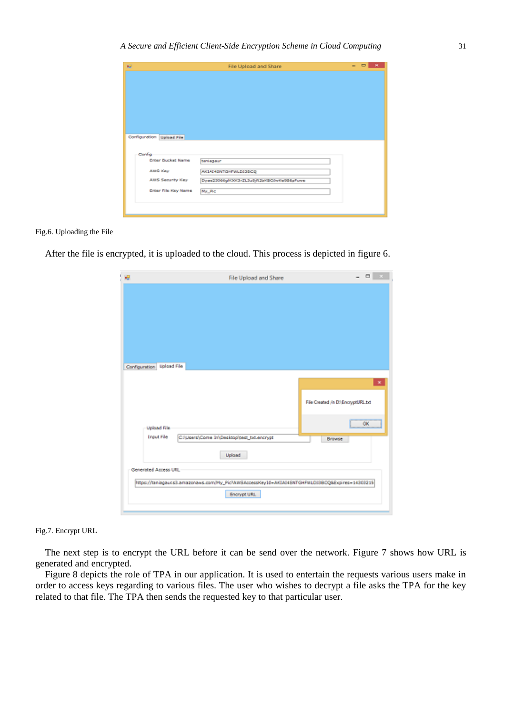| e                         | File Upload and Share                     | $\Box$<br>- |
|---------------------------|-------------------------------------------|-------------|
|                           |                                           |             |
|                           |                                           |             |
|                           |                                           |             |
|                           |                                           |             |
|                           |                                           |             |
|                           |                                           |             |
|                           |                                           |             |
| Configuration Uplead File |                                           |             |
|                           |                                           |             |
| Config                    |                                           |             |
| <b>Enter Bucket Name</b>  | teniageur                                 |             |
| <b>ABS Key</b>            | AKIAI4SNTGHPWLDI3BCQ                      |             |
| ABS Security Key          | Dyee23066gl/O0GlrZL3u8jR2bKBO0wKe986pPuwe |             |
|                           |                                           |             |
| Enter File Key Name       | My_Pic                                    |             |
|                           |                                           |             |
|                           |                                           |             |
|                           |                                           |             |

#### Fig.6. Uploading the File

After the file is encrypted, it is uploaded to the cloud. This process is depicted in figure 6.

| 规                               | File Upload and Share                                                                            | $-0 - 1$                         |
|---------------------------------|--------------------------------------------------------------------------------------------------|----------------------------------|
|                                 |                                                                                                  |                                  |
|                                 |                                                                                                  |                                  |
|                                 |                                                                                                  |                                  |
|                                 |                                                                                                  |                                  |
|                                 |                                                                                                  |                                  |
|                                 |                                                                                                  |                                  |
|                                 |                                                                                                  |                                  |
| Configuration Upload File       |                                                                                                  |                                  |
|                                 |                                                                                                  | ×                                |
|                                 |                                                                                                  |                                  |
|                                 |                                                                                                  | File Created /n DA IncryptURL td |
|                                 |                                                                                                  |                                  |
| <b>Upload File</b>              |                                                                                                  | <b>OK</b>                        |
| <b><i><u>Trout File</u></i></b> | Criticers/Come In\Desktop/pest_txt.encrypt                                                       | Browse                           |
|                                 | Upload                                                                                           |                                  |
| Generated Access URL            |                                                                                                  |                                  |
|                                 | https://taniagaucsit.arrazonaws.com/My_PichtatSAccessKey1d=AKIA14ENTGHPWLD33BCQ&Expires=14303215 |                                  |
|                                 | Encrypt URL                                                                                      |                                  |
|                                 |                                                                                                  |                                  |

#### Fig.7. Encrypt URL

The next step is to encrypt the URL before it can be send over the network. Figure 7 shows how URL is generated and encrypted.

Figure 8 depicts the role of TPA in our application. It is used to entertain the requests various users make in order to access keys regarding to various files. The user who wishes to decrypt a file asks the TPA for the key related to that file. The TPA then sends the requested key to that particular user.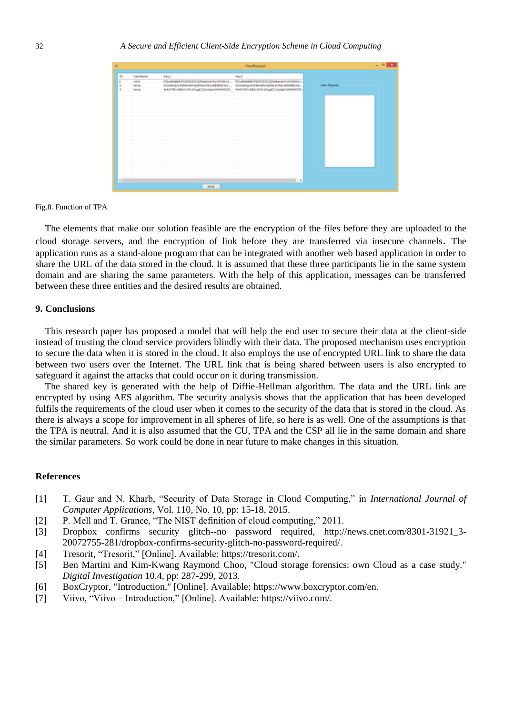|     |          |                                                                       | <b>ViewRoquest</b> |                     |
|-----|----------|-----------------------------------------------------------------------|--------------------|---------------------|
|     | Usefalls | <b>Kind</b>                                                           | <b>Right</b>       |                     |
|     | rains    | 41ustrata-ASSS-Qlasow-Q-20trsL. Kosteeds-MSSS-Qlasow-HODOL.           |                    |                     |
|     | turia.   | ucsaspurtasemajicturvis-atmobiles. Incomputerscencesistances actuals. |                    | <b>Dear Request</b> |
|     | Ismin    | WOYPHBB/CD-10-4033v/bKARRRDZ. RHD9FHBB/1043hgE23vbArRRHDD.            |                    |                     |
|     |          |                                                                       |                    |                     |
|     |          |                                                                       |                    |                     |
|     |          |                                                                       |                    |                     |
|     |          |                                                                       |                    |                     |
|     |          |                                                                       |                    |                     |
|     |          |                                                                       |                    |                     |
|     |          |                                                                       |                    |                     |
|     |          |                                                                       |                    |                     |
|     |          |                                                                       |                    |                     |
|     |          |                                                                       |                    |                     |
|     |          |                                                                       |                    |                     |
|     |          |                                                                       |                    |                     |
|     |          |                                                                       |                    |                     |
|     |          |                                                                       |                    |                     |
|     |          |                                                                       |                    |                     |
|     |          |                                                                       |                    |                     |
|     |          |                                                                       |                    |                     |
| 411 |          |                                                                       | $\mathbf{r}$       |                     |
|     |          |                                                                       |                    |                     |
|     |          | <b>Sand</b>                                                           |                    |                     |

Fig.8. Function of TPA

The elements that make our solution feasible are the encryption of the files before they are uploaded to the cloud storage servers, and the encryption of link before they are transferred via insecure channels. The application runs as a stand-alone program that can be integrated with another web based application in order to share the URL of the data stored in the cloud. It is assumed that these three participants lie in the same system domain and are sharing the same parameters. With the help of this application, messages can be transferred between these three entities and the desired results are obtained.

#### **9. Conclusions**

This research paper has proposed a model that will help the end user to secure their data at the client-side instead of trusting the cloud service providers blindly with their data. The proposed mechanism uses encryption to secure the data when it is stored in the cloud. It also employs the use of encrypted URL link to share the data between two users over the Internet. The URL link that is being shared between users is also encrypted to safeguard it against the attacks that could occur on it during transmission.

The shared key is generated with the help of Diffie-Hellman algorithm. The data and the URL link are encrypted by using AES algorithm. The security analysis shows that the application that has been developed fulfils the requirements of the cloud user when it comes to the security of the data that is stored in the cloud. As there is always a scope for improvement in all spheres of life, so here is as well. One of the assumptions is that the TPA is neutral. And it is also assumed that the CU, TPA and the CSP all lie in the same domain and share the similar parameters. So work could be done in near future to make changes in this situation.

#### **References**

- [1] T. Gaur and N. Kharb, "Security of Data Storage in Cloud Computing," in *International Journal of Computer Applications,* Vol. 110, No. 10, pp: 15-18, 2015.
- [2] P. Mell and T. Grance, "The NIST definition of cloud computing," 2011.
- [3] Dropbox confirms security glitch--no password required, [http://news.cnet.com/8301-31921\\_3-](http://news.cnet.com/8301-31921_3-20072755-281/dropbox-confirms-security-glitch-no-password-required/) [20072755-281/dropbox-confirms-security-glitch-no-password-required/.](http://news.cnet.com/8301-31921_3-20072755-281/dropbox-confirms-security-glitch-no-password-required/)
- [4] Tresorit, "Tresorit," [Online]. Available: https://tresorit.com/.
- [5] Ben Martini and Kim-Kwang Raymond Choo, "Cloud storage forensics: own Cloud as a case study." *Digital Investigation* 10.4, pp: 287-299, 2013.
- [6] BoxCryptor, "Introduction," [Online]. Available: https://www.boxcryptor.com/en.
- [7] Viivo, "Viivo Introduction," [Online]. Available: https://viivo.com/.